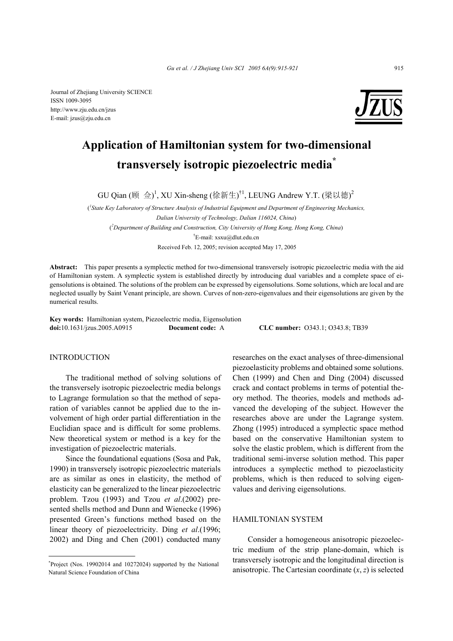

# **Application of Hamiltonian system for two-dimensional transversely isotropic piezoelectric media\***

GU Qian (顾 佥)<sup>1</sup>, XU Xin-sheng (徐新生)<sup>†1</sup>, LEUNG Andrew Y.T. (梁以德)<sup>2</sup>

<sup>*l*</sup> State Key Laboratory of Structure Analysis of Industrial Equipment and Department of Engineering Mechanics, *Dalian University of Technology, Dalian 116024, China*) ( *2 Department of Building and Construction, City University of Hong Kong, Hong Kong, China*) † E-mail: xsxu@dlut.edu.cn

Received Feb. 12, 2005; revision accepted May 17, 2005

**Abstract:** This paper presents a symplectic method for two-dimensional transversely isotropic piezoelectric media with the aid of Hamiltonian system. A symplectic system is established directly by introducing dual variables and a complete space of eigensolutions is obtained. The solutions of the problem can be expressed by eigensolutions. Some solutions, which are local and are neglected usually by Saint Venant principle, are shown. Curves of non-zero-eigenvalues and their eigensolutions are given by the numerical results.

**Key words:** Hamiltonian system, Piezoelectric media, Eigensolution **doi:**10.1631/jzus.2005.A0915 **Document code:** A **CLC number:** O343.1; O343.8; TB39

## **INTRODUCTION**

The traditional method of solving solutions of the transversely isotropic piezoelectric media belongs to Lagrange formulation so that the method of separation of variables cannot be applied due to the involvement of high order partial differentiation in the Euclidian space and is difficult for some problems. New theoretical system or method is a key for the investigation of piezoelectric materials.

Since the foundational equations (Sosa and Pak, 1990) in transversely isotropic piezoelectric materials are as similar as ones in elasticity, the method of elasticity can be generalized to the linear piezoelectric problem. Tzou (1993) and Tzou *et al*.(2002) presented shells method and Dunn and Wienecke (1996) presented Green's functions method based on the linear theory of piezoelectricity. Ding *et al*.(1996; 2002) and Ding and Chen (2001) conducted many

researches on the exact analyses of three-dimensional piezoelasticity problems and obtained some solutions. Chen (1999) and Chen and Ding (2004) discussed crack and contact problems in terms of potential theory method. The theories, models and methods advanced the developing of the subject. However the researches above are under the Lagrange system. Zhong (1995) introduced a symplectic space method based on the conservative Hamiltonian system to solve the elastic problem, which is different from the traditional semi-inverse solution method. This paper introduces a symplectic method to piezoelasticity problems, which is then reduced to solving eigenvalues and deriving eigensolutions.

#### HAMILTONIAN SYSTEM

Consider a homogeneous anisotropic piezoelectric medium of the strip plane-domain, which is transversely isotropic and the longitudinal direction is anisotropic. The Cartesian coordinate  $(x, z)$  is selected

<sup>\*</sup> Project (Nos. 19902014 and 10272024) supported by the National Natural Science Foundation of China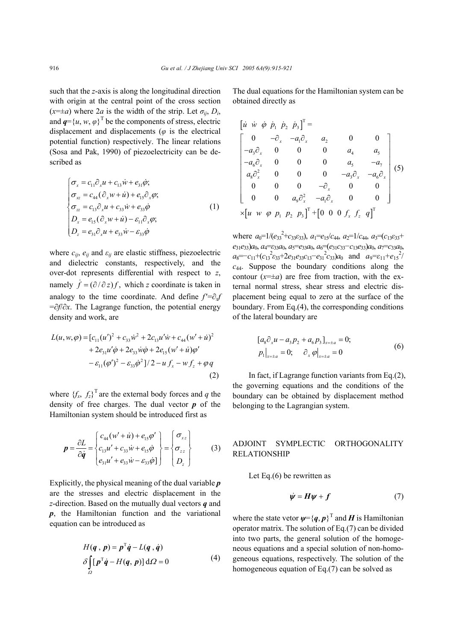such that the *z*-axis is along the longitudinal direction with origin at the central point of the cross section  $(x=\pm a)$  where 2*a* is the width of the strip. Let  $\sigma_{ii}$ ,  $D_i$ , and  $q = \{u, w, \varphi\}^T$  be the components of stress, electric displacement and displacements (*φ* is the electrical potential function) respectively. The linear relations (Sosa and Pak, 1990) of piezoelectricity can be described as

$$
\begin{cases}\n\sigma_x = c_{11}\partial_x u + c_{13}\dot{w} + e_{31}\dot{\varphi}; \\
\sigma_{xz} = c_{44}(\partial_x w + \dot{u}) + e_{15}\partial_x \varphi; \\
\sigma_{zz} = c_{13}\partial_x u + c_{33}\dot{w} + e_{33}\dot{\varphi} \\
D_x = e_{15}(\partial_x w + \dot{u}) - \varepsilon_{11}\partial_x \varphi; \\
D_z = e_{31}\partial_x u + e_{33}\dot{w} - \varepsilon_{33}\dot{\varphi}\n\end{cases}
$$
\n(1)

where  $c_{ii}$ ,  $e_{ii}$  and  $\varepsilon_{ii}$  are elastic stiffness, piezoelectric and dielectric constants, respectively, and the over-dot represents differential with respect to *z*, namely  $\dot{f} = (\partial/\partial z) f$ , which *z* coordinate is taken in analogy to the time coordinate. And define  $f' = \partial_x f$ =∂*f*/∂*x*. The Lagrange function, the potential energy density and work, are

$$
L(u, w, \varphi) = [c_{11}(u')^{2} + c_{33}\dot{w}^{2} + 2c_{13}u'\dot{w} + c_{44}(w' + \dot{u})^{2} + 2e_{31}u'\dot{\varphi} + 2e_{33}\dot{w}\dot{\varphi} + 2e_{15}(w' + \dot{u})\varphi' - \varepsilon_{11}(\varphi')^{2} - \varepsilon_{33}\dot{\varphi}^{2}]/2 - u f_{x} - w f_{z} + \varphi q
$$
\n(2)

where  ${f_x, f_z}^T$  are the external body forces and *q* the density of free charges. The dual vector *p* of the Hamiltonian system should be introduced first as

$$
\boldsymbol{p} = \frac{\partial L}{\partial \dot{q}} = \begin{cases} c_{44}(w' + \dot{u}) + e_{15}\phi' \\ c_{13}u' + c_{33}\dot{w} + e_{15}\dot{\phi} \\ e_{31}u' + e_{33}\dot{w} - \varepsilon_{33}\dot{\phi} \end{cases} = \begin{cases} \sigma_{xz} \\ \sigma_{zz} \\ D_z \end{cases}
$$
(3)

Explicitly, the physical meaning of the dual variable *p* are the stresses and electric displacement in the *z*-direction. Based on the mutually dual vectors *q* and *p*, the Hamiltonian function and the variational equation can be introduced as

$$
H(q, p) = p^{\mathrm{T}}\dot{q} - L(q, \dot{q})
$$
  
\n
$$
\delta \int_{\Omega} [p^{\mathrm{T}}\dot{q} - H(q, p)] d\Omega = 0
$$
 (4)

The dual equations for the Hamiltonian system can be obtained directly as

$$
\begin{bmatrix}\ni & \dot{w} & \dot{\varphi} & \dot{p}_1 & \dot{p}_2 & \dot{p}_3\end{bmatrix}^T =
$$
\n
$$
\begin{bmatrix}\n0 & -\partial_x & -a_1\partial_x & a_2 & 0 & 0 \\
-a_3\partial_x & 0 & 0 & 0 & a_4 & a_5 \\
-a_6\partial_x & 0 & 0 & 0 & a_5 & -a_7 \\
a_8\partial_x^2 & 0 & 0 & 0 & -a_3\partial_x & -a_6\partial_x \\
0 & 0 & 0 & -\partial_x & 0 & 0 \\
0 & 0 & a_9\partial_x^2 & -a_1\partial_x & 0 & 0\n\end{bmatrix}
$$
\n
$$
\times \begin{bmatrix}\nu & \dot{w} & \varphi & p_1 & p_2 & p_3\end{bmatrix}^T + \begin{bmatrix}\n0 & 0 & 0 & f_x & f_z & q\end{bmatrix}^T
$$

where  $a_0=1/(e_{33}^2+c_{33}\epsilon_{33})$ ,  $a_1=e_{15}/c_{44}$ ,  $a_2=1/c_{44}$ ,  $a_3=(c_{13}\epsilon_{33}+c_{13}\epsilon_{33})$  $e_3$ <sub>1</sub> $e_3$ <sub>3</sub>) $a_0$ ,  $a_4 = \varepsilon_3$ <sub>3</sub> $a_0$ ,  $a_5 = \varepsilon_3$ <sub>3</sub> $a_0$ ,  $a_6 = (\varepsilon_3) \varepsilon_3$ <sub>3</sub> $-c_1$ <sub>3</sub> $\varepsilon_3$ <sub>3</sub> $a_0$ ,  $a_7 = c_3$ <sub>3</sub> $a_0$ ,  $a_8 = -c_{11} + (c_{13}^2 \epsilon_{33} + 2e_{31}e_{33}c_{13} - e_{31}^2 c_{33})a_0$  and  $a_9 = \epsilon_{11} + e_{15}^2$ *c*44. Suppose the boundary conditions along the contour  $(x=\pm a)$  are free from traction, with the external normal stress, shear stress and electric displacement being equal to zero at the surface of the boundary. From Eq.(4), the corresponding conditions of the lateral boundary are

$$
[a_8 \partial_x u - a_3 p_2 + a_6 p_3]_{x = \pm a} = 0;
$$
  
\n
$$
p_1|_{x = \pm a} = 0; \qquad \partial_x \varphi|_{x = \pm a} = 0
$$
\n(6)

In fact, if Lagrange function variants from Eq.(2), the governing equations and the conditions of the boundary can be obtained by displacement method belonging to the Lagrangian system.

## ADJOINT SYMPLECTIC ORTHOGONALITY RELATIONSHIP

Let Eq.(6) be rewritten as

$$
\dot{\psi} = H\psi + f \tag{7}
$$

where the state vetor  $\psi = \{q, p\}^T$  and *H* is Hamiltonian operator matrix. The solution of Eq.(7) can be divided into two parts, the general solution of the homogeneous equations and a special solution of non-homogeneous equations, respectively. The solution of the homogeneous equation of Eq.(7) can be solved as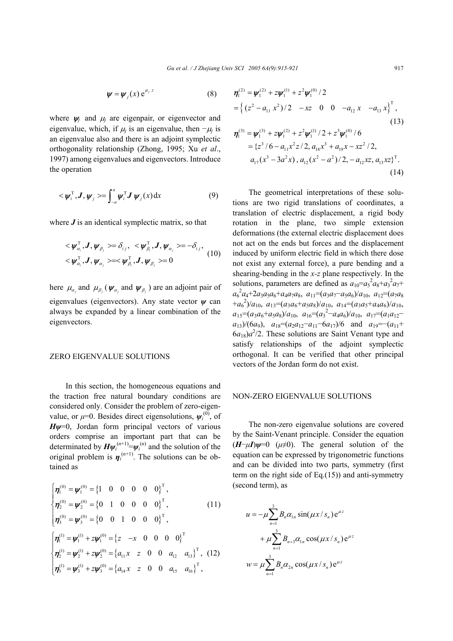$$
\psi = \psi_j(x) e^{\mu_j z} \tag{8}
$$

where  $\psi_i$  and  $\mu_i$  are eigenpair, or eigenvector and eigenvalue, which, if  $\mu_i$  is an eigenvalue, then  $-\mu_i$  is an eigenvalue also and there is an adjoint symplectic orthogonality relationship (Zhong, 1995; Xu *et al*., 1997) among eigenvalues and eigenvectors. Introduce the operation

$$
\langle \boldsymbol{\psi}_i^{\mathrm{T}}, \boldsymbol{J}, \boldsymbol{\psi}_j \rangle = \int_{-a}^a \boldsymbol{\psi}_i^{\mathrm{T}} \boldsymbol{J} \, \boldsymbol{\psi}_j(x) \, \mathrm{d}x \tag{9}
$$

where *J* is an identical symplectic matrix, so that

$$
\langle \boldsymbol{\psi}_{\alpha_i}^{\mathrm{T}}, \boldsymbol{J}, \boldsymbol{\psi}_{\beta_j} \rangle = \delta_{ij}, \ \langle \boldsymbol{\psi}_{\beta_i}^{\mathrm{T}}, \boldsymbol{J}, \boldsymbol{\psi}_{\alpha_j} \rangle = -\delta_{ij},
$$
  

$$
\langle \boldsymbol{\psi}_{\alpha_i}^{\mathrm{T}}, \boldsymbol{J}, \boldsymbol{\psi}_{\alpha_j} \rangle = \langle \boldsymbol{\psi}_{\beta_i}^{\mathrm{T}}, \boldsymbol{J}, \boldsymbol{\psi}_{\beta_j} \rangle = 0
$$
 (10)

here  $\mu_{\alpha}$  and  $\mu_{\beta}$  ( $\psi_{\alpha}$  and  $\psi_{\beta}$ ) are an adjoint pair of eigenvalues (eigenvectors). Any state vector *ψ* can always be expanded by a linear combination of the eigenvectors.

### ZERO EIGENVALUE SOLUTIONS

In this section, the homogeneous equations and the traction free natural boundary conditions are considered only. Consider the problem of zero-eigenvalue, or  $\mu$ =0. Besides direct eigensolutions,  $\psi_i^{(0)}$ , of *Hψ*=0, Jordan form principal vectors of various orders comprise an important part that can be determinated by  $H\psi_i^{(n+1)} = \psi_i^{(n)}$  and the solution of the original problem is  $\eta_i^{(n+1)}$ . The solutions can be obtained as

$$
\begin{cases}\n\eta_1^{(0)} = \psi_1^{(0)} = \{1 \quad 0 \quad 0 \quad 0 \quad 0 \quad 0\}^{\mathrm{T}}, \\
\eta_2^{(0)} = \psi_2^{(0)} = \{0 \quad 1 \quad 0 \quad 0 \quad 0 \quad 0\}^{\mathrm{T}}, \quad (11) \\
\eta_3^{(0)} = \psi_3^{(0)} = \{0 \quad 0 \quad 1 \quad 0 \quad 0 \quad 0\}^{\mathrm{T}}, \\
\eta_1^{(1)} = \psi_1^{(1)} + z\psi_1^{(0)} = \{z \quad -x \quad 0 \quad 0 \quad 0 \quad 0\}^{\mathrm{T}} \\
\eta_2^{(1)} = \psi_2^{(1)} + z\psi_2^{(0)} = \{a_{11}x \quad z \quad 0 \quad 0 \quad a_{12} \quad a_{13}\}^{\mathrm{T}}, \quad (12) \\
\eta_3^{(1)} = \psi_3^{(1)} + z\psi_3^{(0)} = \{a_{14}x \quad z \quad 0 \quad 0 \quad a_{15} \quad a_{16}\}^{\mathrm{T}},\n\end{cases}
$$

$$
\eta_1^{(2)} = \psi_1^{(2)} + z\psi_1^{(1)} + z^2\psi_1^{(0)}/2
$$
\n
$$
= \left\{ (z^2 - a_{11} x^2)/2 - xz \quad 0 \quad 0 \quad -a_{12} x \quad -a_{13} x \right\}^T,
$$
\n(13)\n
$$
\eta_1^{(3)} = \psi_1^{(3)} + z\psi_1^{(2)} + z^2\psi_1^{(1)}/2 + z^3\psi_1^{(0)}/6
$$
\n
$$
= \left\{ z^3/6 - a_{11} x^2 z/2, a_{18} x^3 + a_{19} x - x z^2/2, a_{17} (x^3 - 3a^2 x), a_{12} (x^2 - a^2)/2, -a_{12} x z, a_{13} x z \right\}^T.
$$
\n(14)

The geometrical interpretations of these solutions are two rigid translations of coordinates, a translation of electric displacement, a rigid body rotation in the plane, two simple extension deformations (the external electric displacement does not act on the ends but forces and the displacement induced by uniform electric field in which there dose not exist any external force), a pure bending and a shearing-bending in the *x-z* plane respectively. In the solutions, parameters are defined as  $a_{10} = a_5^2 a_8 + a_3^2 a_7 + a_4^2 a_8$  $a_6^2a_4+2a_3a_5a_6+a_4a_7a_8$ ,  $a_{11}=(a_3a_7-a_5a_6)/a_{10}$ ,  $a_{12}=(a_7a_8)$  $+a_6^2/a_{10}$ ,  $a_{13}=(a_3a_6+a_5a_8)/a_{10}$ ,  $a_{14}=(a_3a_5+a_4a_6)/a_{10}$ ,  $a_{15} = (a_3a_6 + a_5a_8)/a_{10}, a_{16} = (a_3^2 - a_4a_6)/a_{10}, a_{17} = (a_1a_{12} - a_4a_6)/a_{10}$  $a_{13}$ )/(6*a*<sub>9</sub>),  $a_{18} = (a_2 a_{12} - a_{11} - 6a_{17})/6$  and  $a_{19} = -(a_{11} + a_{12})/6$  $6a_{18}$ ) $a^2$ /2. These solutions are Saint Venant type and satisfy relationships of the adjoint symplectic orthogonal. It can be verified that other principal vectors of the Jordan form do not exist.

### NON-ZERO EIGENVALUE SOLUTIONS

The non-zero eigenvalue solutions are covered by the Saint-Venant principle. Consider the equation  $(H-\mu I)\psi=0$  ( $\mu\neq0$ ). The general solution of the equation can be expressed by trigonometric functions and can be divided into two parts, symmetry (first term on the right side of Eq.(15)) and anti-symmetry (second term), as

$$
u = -\mu \sum_{n=1}^{3} B_n \alpha_{1n} \sin(\mu x / s_n) e^{\mu z}
$$
  
+ 
$$
\mu \sum_{n=1}^{3} B_{n+3} \alpha_{1n} \cos(\mu x / s_n) e^{\mu z}
$$
  

$$
w = \mu \sum_{n=1}^{3} B_n \alpha_{2n} \cos(\mu x / s_n) e^{\mu z}
$$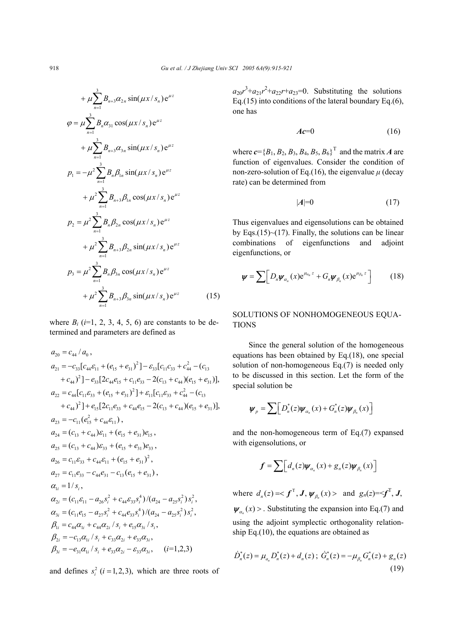$$
+\mu \sum_{n=1}^{3} B_{n+3} \alpha_{2n} \sin(\mu x / s_n) e^{\mu z}
$$
  
\n
$$
\varphi = \mu \sum_{n=1}^{3} B_n \alpha_{31} \cos(\mu x / s_n) e^{\mu z}
$$
  
\n
$$
+\mu \sum_{n=1}^{3} B_{n+3} \alpha_{3n} \sin(\mu x / s_n) e^{\mu z}
$$
  
\n
$$
p_1 = -\mu^2 \sum_{n=1}^{3} B_n \beta_{1n} \sin(\mu x / s_n) e^{\mu z}
$$
  
\n
$$
+\mu^2 \sum_{n=1}^{3} B_{n+3} \beta_{1n} \cos(\mu x / s_n) e^{\mu z}
$$
  
\n
$$
p_2 = \mu^2 \sum_{n=1}^{3} B_n \beta_{2n} \cos(\mu x / s_n) e^{\mu z}
$$
  
\n
$$
+\mu^2 \sum_{n=1}^{3} B_{n+3} \beta_{2n} \sin(\mu x / s_n) e^{\mu z}
$$
  
\n
$$
p_3 = \mu^2 \sum_{n=1}^{3} B_n \beta_{3n} \cos(\mu x / s_n) e^{\mu z}
$$
  
\n
$$
+\mu^2 \sum_{n=1}^{3} B_{n+3} \beta_{3n} \sin(\mu x / s_n) e^{\mu z}
$$
 (15)

where  $B_i$  ( $i=1, 2, 3, 4, 5, 6$ ) are constants to be determined and parameters are defined as

$$
a_{20} = c_{44} / a_0,
$$
  
\n
$$
a_{21} = -c_{33}[c_{44}\epsilon_{11} + (e_{15} + e_{31})^2] - \epsilon_{33}[c_{11}c_{33} + c_{44}^2 - (c_{13} + c_{44})^2] - e_{33}[2c_{44}e_{15} + c_{11}e_{33} - 2(c_{13} + c_{44})(e_{15} + e_{31})],
$$
  
\n
$$
a_{22} = c_{44}[c_{11}\epsilon_{33} + (e_{15} + e_{31})^2] + \epsilon_{11}[c_{11}\epsilon_{33} + c_{44}^2 - (c_{13} + c_{44})^2] + e_{15}[2c_{11}e_{33} + c_{44}e_{15} - 2(c_{13} + c_{44})(e_{15} + e_{31})],
$$
  
\n
$$
a_{23} = -c_{11}(e_{15}^2 + c_{44}\epsilon_{11}),
$$
  
\n
$$
a_{24} = (c_{13} + c_{44})\epsilon_{11} + (e_{15} + e_{31})e_{15},
$$
  
\n
$$
a_{25} = (c_{13} + c_{44})\epsilon_{33} + (e_{15} + e_{31})e_{33},
$$
  
\n
$$
a_{26} = c_{11}\epsilon_{33} + c_{44}\epsilon_{11} + (e_{15} + e_{31})^2,
$$
  
\n
$$
a_{27} = c_{11}e_{33} - c_{44}e_{31} - c_{13}(e_{15} + e_{31}),
$$
  
\n
$$
a_{1i} = 1/s_i,
$$
  
\n
$$
a_{2i} = (c_{11}\epsilon_{11} - a_{26}s_i^2 + c_{44}\epsilon_{33}s_i^4)/(a_{24} - a_{25}s_i^2)s_i^2,
$$
  
\n
$$
a_{3i} = (c_{11}e_{15} - a_{27}s_i^2 + c_{44}\epsilon_{33}s_i^4)/(a_{24} - a_{25}s_i^2)s_i^2,
$$
  
\n
$$
a_{3i} = (c_{11}e_{15} - a
$$

and defines  $s_i^2$  ( $i = 1, 2, 3$ ), which are three roots of

 $a_{20}r^3 + a_{21}r^2 + a_{22}r + a_{23} = 0$ . Substituting the solutions Eq.(15) into conditions of the lateral boundary Eq.(6), one has

$$
Ac=0\tag{16}
$$

where  $c = {B_1, B_2, B_3, B_4, B_5, B_6}^T$  and the matrix *A* are function of eigenvalues. Consider the condition of non-zero-solution of Eq.(16), the eigenvalue  $\mu$  (decay rate) can be determined from

$$
|A|=0\tag{17}
$$

Thus eigenvalues and eigensolutions can be obtained by Eqs.(15) $\sim$ (17). Finally, the solutions can be linear combinations of eigenfunctions and adjoint eigenfunctions, or

$$
\boldsymbol{\psi} = \sum \Big[ D_n \boldsymbol{\psi}_{\alpha_n}(x) e^{\mu_{\alpha_n} z} + G_n \boldsymbol{\psi}_{\beta_n}(x) e^{\mu_{\beta_n} z} \Big] \qquad (18)
$$

# SOLUTIONS OF NONHOMOGENEOUS EQUA-TIONS

Since the general solution of the homogeneous equations has been obtained by Eq.(18), one special solution of non-homogeneous Eq.(7) is needed only to be discussed in this section. Let the form of the special solution be

$$
\boldsymbol{\psi}_{p} = \sum \Big[ D_{n}^{*}(z) \boldsymbol{\psi}_{\alpha_{n}}(x) + G_{n}^{*}(z) \boldsymbol{\psi}_{\beta_{n}}(x) \Big]
$$

and the non-homogeneous term of Eq.(7) expansed with eigensolutions, or

$$
\boldsymbol{f} = \sum \Big[ d_n(z) \boldsymbol{\psi}_{\alpha_n}(x) + \boldsymbol{g}_n(z) \boldsymbol{\psi}_{\beta_n}(x) \Big]
$$

where  $d_n(z) = \langle f^T, J, \psi_{\beta_n}(x) \rangle$  and  $g_n(z) = \langle f^T, J, \psi_{\beta_n}(x) \rangle$  $\psi_{\alpha}$  (x) > . Substituting the expansion into Eq.(7) and using the adjoint symplectic orthogonality relationship Eq.(10), the equations are obtained as

$$
\dot{D}_n^*(z) = \mu_{a_n} D_n^*(z) + d_n(z) \, ; \, \dot{G}_n^*(z) = -\mu_{\beta_n} G_n^*(z) + g_n(z) \tag{19}
$$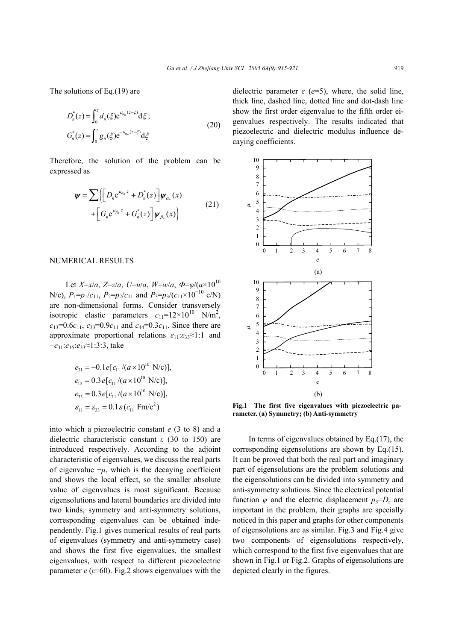The solutions of Eq.(19) are

$$
D_n^*(z) = \int_0^z d_n(\xi) e^{i\mu_{\alpha_n}(z-\xi)} d\xi ;
$$
  
\n
$$
G_n^*(z) = \int_0^z g_n(\xi) e^{-i\mu_{\alpha_n}(z-\xi)} d\xi
$$
\n(20)

Therefore, the solution of the problem can be expressed as

$$
\mathbf{\psi} = \sum \left\{ \left[ D_n e^{\mu_{\alpha_n} z} + D_n^*(z) \right] \mathbf{\psi}_{\alpha_n}(x) + \left[ G_n e^{\mu_{\beta_n} z} + G_n^*(z) \right] \mathbf{\psi}_{\beta_n}(x) \right\}
$$
(21)

### NUMERICAL RESULTS

Let  $X=x/a$ ,  $Z=z/a$ ,  $U=u/a$ ,  $W=w/a$ ,  $\Phi=\phi/(a\times10^{10}$ N/c),  $P_1=p_1/c_{11}$ ,  $P_2=p_2/c_{11}$  and  $P_3=p_3/(c_{11} \times 10^{-10} \text{ c/N})$ are non-dimensional forms. Consider transversely isotropic elastic parameters  $c_{11}$ =12×10<sup>10</sup> N/m<sup>2</sup>,  $c_{13}=0.6c_{11}$ ,  $c_{33}=0.9c_{11}$  and  $c_{44}=0.3c_{11}$ . Since there are approximate proportional relations *ε*11:*ε*33≈1:1 and −*e*31:*e*15:*e*33≈1:3:3, take

$$
e_{31} = -0.1e[c_{11}/(a \times 10^{10} \text{ N/c})],
$$
  
\n
$$
e_{15} = 0.3e[c_{11}/(a \times 10^{10} \text{ N/c})],
$$
  
\n
$$
e_{33} = 0.3e[c_{11}/(a \times 10^{10} \text{ N/c})],
$$
  
\n
$$
\varepsilon_{11} = \varepsilon_{33} = 0.1\varepsilon(c_{11} \text{ Fm/c}^2)
$$

into which a piezoelectric constant *e* (3 to 8) and a dielectric characteristic constant *ε* (30 to 150) are introduced respectively. According to the adjoint characteristic of eigenvalues, we discuss the real parts of eigenvalue  $-\mu$ , which is the decaying coefficient and shows the local effect, so the smaller absolute value of eigenvalues is most significant. Because eigensolutions and lateral boundaries are divided into two kinds, symmetry and anti-symmetry solutions, corresponding eigenvalues can be obtained independently. Fig.1 gives numerical results of real parts of eigenvalues (symmetry and anti-symmetry case) and shows the first five eigenvalues, the smallest eigenvalues, with respect to different piezoelectric parameter  $e$  ( $\varepsilon$ =60). Fig.2 shows eigenvalues with the

dielectric parameter *ε* (*e*=5), where, the solid line, thick line, dashed line, dotted line and dot-dash line show the first order eigenvalue to the fifth order eigenvalues respectively. The results indicated that piezoelectric and dielectric modulus influence decaying coefficients.



**Fig.1 The first five eigenvalues with piezoelectric parameter. (a) Symmetry; (b) Anti-symmetry** 

In terms of eigenvalues obtained by Eq.(17), the corresponding eigensolutions are shown by Eq.(15). It can be proved that both the real part and imaginary part of eigensolutions are the problem solutions and the eigensolutions can be divided into symmetry and anti-symmetry solutions. Since the electrical potential function  $\varphi$  and the electric displacement  $p_3 = D_z$  are important in the problem, their graphs are specially noticed in this paper and graphs for other components of eigensolutions are as similar. Fig.3 and Fig.4 give two components of eigensolutions respectively, which correspond to the first five eigenvalues that are shown in Fig.1 or Fig.2. Graphs of eigensolutions are depicted clearly in the figures.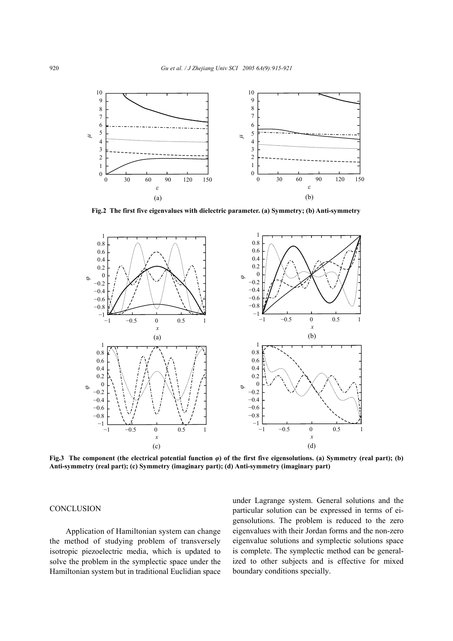

**Fig.2 The first five eigenvalues with dielectric parameter. (a) Symmetry; (b) Anti-symmetry** 



**Fig.3 The component (the electrical potential function** *φ***) of the first five eigensolutions. (a) Symmetry (real part); (b) Anti-symmetry (real part); (c) Symmetry (imaginary part); (d) Anti-symmetry (imaginary part)** 

## **CONCLUSION**

Application of Hamiltonian system can change the method of studying problem of transversely isotropic piezoelectric media, which is updated to solve the problem in the symplectic space under the Hamiltonian system but in traditional Euclidian space under Lagrange system. General solutions and the particular solution can be expressed in terms of eigensolutions. The problem is reduced to the zero eigenvalues with their Jordan forms and the non-zero eigenvalue solutions and symplectic solutions space is complete. The symplectic method can be generalized to other subjects and is effective for mixed boundary conditions specially.